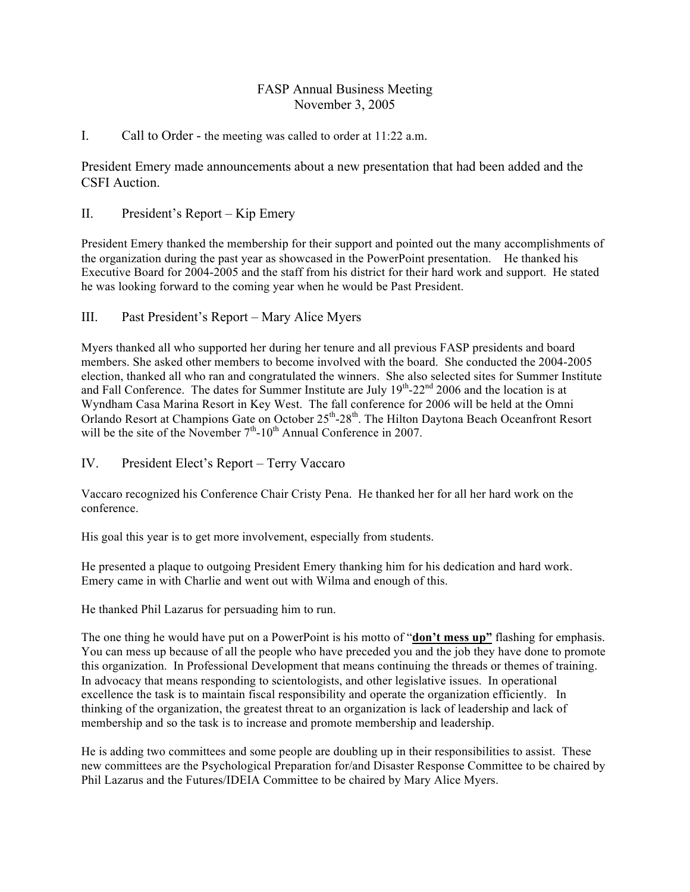# FASP Annual Business Meeting November 3, 2005

## I. Call to Order - the meeting was called to order at 11:22 a.m.

President Emery made announcements about a new presentation that had been added and the CSFI Auction.

## II. President's Report – Kip Emery

President Emery thanked the membership for their support and pointed out the many accomplishments of the organization during the past year as showcased in the PowerPoint presentation. He thanked his Executive Board for 2004-2005 and the staff from his district for their hard work and support. He stated he was looking forward to the coming year when he would be Past President.

### III. Past President's Report – Mary Alice Myers

Myers thanked all who supported her during her tenure and all previous FASP presidents and board members. She asked other members to become involved with the board. She conducted the 2004-2005 election, thanked all who ran and congratulated the winners. She also selected sites for Summer Institute and Fall Conference. The dates for Summer Institute are July  $19<sup>th</sup>$ -22<sup>nd</sup> 2006 and the location is at Wyndham Casa Marina Resort in Key West. The fall conference for 2006 will be held at the Omni Orlando Resort at Champions Gate on October 25<sup>th</sup>-28<sup>th</sup>. The Hilton Daytona Beach Oceanfront Resort will be the site of the November  $7<sup>th</sup>$ -10<sup>th</sup> Annual Conference in 2007.

IV. President Elect's Report – Terry Vaccaro

Vaccaro recognized his Conference Chair Cristy Pena. He thanked her for all her hard work on the conference.

His goal this year is to get more involvement, especially from students.

He presented a plaque to outgoing President Emery thanking him for his dedication and hard work. Emery came in with Charlie and went out with Wilma and enough of this.

He thanked Phil Lazarus for persuading him to run.

The one thing he would have put on a PowerPoint is his motto of "**don't mess up"** flashing for emphasis. You can mess up because of all the people who have preceded you and the job they have done to promote this organization. In Professional Development that means continuing the threads or themes of training. In advocacy that means responding to scientologists, and other legislative issues. In operational excellence the task is to maintain fiscal responsibility and operate the organization efficiently. In thinking of the organization, the greatest threat to an organization is lack of leadership and lack of membership and so the task is to increase and promote membership and leadership.

He is adding two committees and some people are doubling up in their responsibilities to assist. These new committees are the Psychological Preparation for/and Disaster Response Committee to be chaired by Phil Lazarus and the Futures/IDEIA Committee to be chaired by Mary Alice Myers.